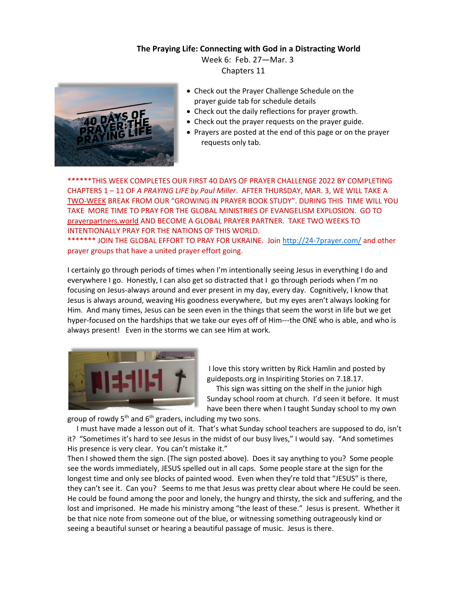**The Praying Life: Connecting with God in a Distracting World**

 Week 6: Feb. 27—Mar. 3 Chapters 11



- Check out the Prayer Challenge Schedule on the prayer guide tab for schedule details
- Check out the daily reflections for prayer growth.
- Check out the prayer requests on the prayer guide.
- Prayers are posted at the end of this page or on the prayer requests only tab.

\*\*\*\*\*\*THIS WEEK COMPLETES OUR FIRST 40 DAYS OF PRAYER CHALLENGE 2022 BY COMPLETING CHAPTERS 1 – 11 OF *A PRAYING LIFE by Paul Miller*. AFTER THURSDAY, MAR. 3, WE WILL TAKE A TWO-WEEK BREAK FROM OUR "GROWING IN PRAYER BOOK STUDY". DURING THIS TIME WILL YOU TAKE MORE TIME TO PRAY FOR THE GLOBAL MINISTRIES OF EVANGELISM EXPLOSION. GO TO prayerpartners.world AND BECOME A GLOBAL PRAYER PARTNER. TAKE TWO WEEKS TO INTENTIONALLY PRAY FOR THE NATIONS OF THIS WORLD.

\*\*\*\*\*\*\* JOIN THE GLOBAL EFFORT TO PRAY FOR UKRAINE. Join http://24-7prayer.com/ and other prayer groups that have a united prayer effort going.

I certainly go through periods of times when I'm intentionally seeing Jesus in everything I do and everywhere I go. Honestly, I can also get so distracted that I go through periods when I'm no focusing on Jesus-always around and ever present in my day, every day. Cognitively, I know that Jesus is always around, weaving His goodness everywhere, but my eyes aren't always looking for Him. And many times, Jesus can be seen even in the things that seem the worst in life but we get hyper-focused on the hardships that we take our eyes off of Him---the ONE who is able, and who is always present! Even in the storms we can see Him at work.



I love this story written by Rick Hamlin and posted by guideposts.org in Inspiriting Stories on 7.18.17.

 This sign was sitting on the shelf in the junior high Sunday school room at church. I'd seen it before. It must have been there when I taught Sunday school to my own

group of rowdy 5<sup>th</sup> and 6<sup>th</sup> graders, including my two sons.

 I must have made a lesson out of it. That's what Sunday school teachers are supposed to do, isn't it? "Sometimes it's hard to see Jesus in the midst of our busy lives," I would say. "And sometimes His presence is very clear. You can't mistake it."

Then I showed them the sign. (The sign posted above). Does it say anything to you? Some people see the words immediately, JESUS spelled out in all caps. Some people stare at the sign for the longest time and only see blocks of painted wood. Even when they're told that "JESUS" is there, they can't see it. Can you? Seems to me that Jesus was pretty clear about where He could be seen. He could be found among the poor and lonely, the hungry and thirsty, the sick and suffering, and the lost and imprisoned. He made his ministry among "the least of these." Jesus is present. Whether it be that nice note from someone out of the blue, or witnessing something outrageously kind or seeing a beautiful sunset or hearing a beautiful passage of music. Jesus is there.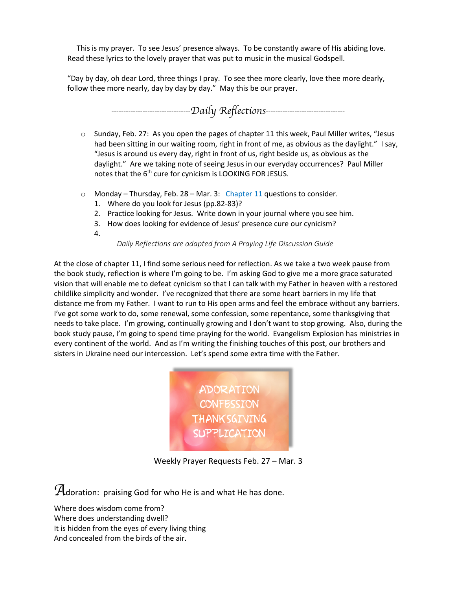This is my prayer. To see Jesus' presence always. To be constantly aware of His abiding love. Read these lyrics to the lovely prayer that was put to music in the musical Godspell.

"Day by day, oh dear Lord, three things I pray. To see thee more clearly, love thee more dearly, follow thee more nearly, day by day by day." May this be our prayer.



- o Sunday, Feb. 27: As you open the pages of chapter 11 this week, Paul Miller writes, "Jesus had been sitting in our waiting room, right in front of me, as obvious as the daylight." I say, "Jesus is around us every day, right in front of us, right beside us, as obvious as the daylight." Are we taking note of seeing Jesus in our everyday occurrences? Paul Miller notes that the 6<sup>th</sup> cure for cynicism is LOOKING FOR JESUS.
- $\circ$  Monday Thursday, Feb. 28 Mar. 3: Chapter 11 questions to consider.
	- 1. Where do you look for Jesus (pp.82-83)?
	- 2. Practice looking for Jesus. Write down in your journal where you see him.
	- 3. How does looking for evidence of Jesus' presence cure our cynicism?
	- 4.

## *Daily Reflections are adapted from A Praying Life Discussion Guide*

At the close of chapter 11, I find some serious need for reflection. As we take a two week pause from the book study, reflection is where I'm going to be. I'm asking God to give me a more grace saturated vision that will enable me to defeat cynicism so that I can talk with my Father in heaven with a restored childlike simplicity and wonder. I've recognized that there are some heart barriers in my life that distance me from my Father. I want to run to His open arms and feel the embrace without any barriers. I've got some work to do, some renewal, some confession, some repentance, some thanksgiving that needs to take place. I'm growing, continually growing and I don't want to stop growing. Also, during the book study pause, I'm going to spend time praying for the world. Evangelism Explosion has ministries in every continent of the world. And as I'm writing the finishing touches of this post, our brothers and sisters in Ukraine need our intercession. Let's spend some extra time with the Father.



Weekly Prayer Requests Feb. 27 – Mar. 3

*A*doration: praising God for who He is and what He has done.

Where does wisdom come from? Where does understanding dwell? It is hidden from the eyes of every living thing And concealed from the birds of the air.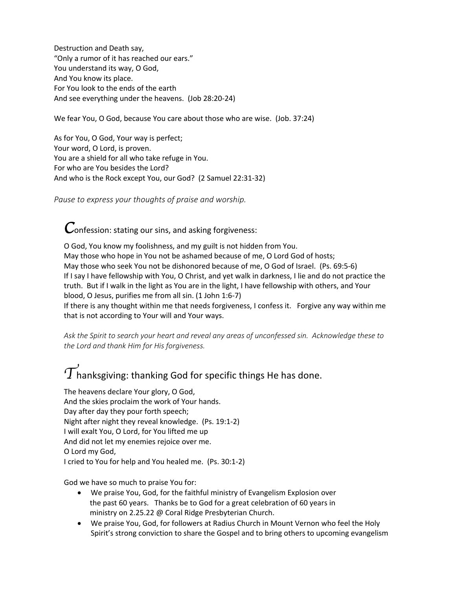Destruction and Death say, "Only a rumor of it has reached our ears." You understand its way, O God, And You know its place. For You look to the ends of the earth And see everything under the heavens. (Job 28:20-24)

We fear You, O God, because You care about those who are wise. (Job. 37:24)

As for You, O God, Your way is perfect; Your word, O Lord, is proven. You are a shield for all who take refuge in You. For who are You besides the Lord? And who is the Rock except You, our God? (2 Samuel 22:31-32)

*Pause to express your thoughts of praise and worship.*

*C*onfession: stating our sins, and asking forgiveness:

O God, You know my foolishness, and my guilt is not hidden from You. May those who hope in You not be ashamed because of me, O Lord God of hosts; May those who seek You not be dishonored because of me, O God of Israel. (Ps. 69:5-6) If I say I have fellowship with You, O Christ, and yet walk in darkness, I lie and do not practice the truth. But if I walk in the light as You are in the light, I have fellowship with others, and Your blood, O Jesus, purifies me from all sin. (1 John 1:6-7) If there is any thought within me that needs forgiveness, I confess it. Forgive any way within me

that is not according to Your will and Your ways.

*Ask the Spirit to search your heart and reveal any areas of unconfessed sin. Acknowledge these to the Lord and thank Him for His forgiveness.* 

## $\widetilde{T}$ hanksgiving: thanking God for specific things He has done.

The heavens declare Your glory, O God, And the skies proclaim the work of Your hands. Day after day they pour forth speech; Night after night they reveal knowledge. (Ps. 19:1-2) I will exalt You, O Lord, for You lifted me up And did not let my enemies rejoice over me. O Lord my God, I cried to You for help and You healed me. (Ps. 30:1-2)

God we have so much to praise You for:

- We praise You, God, for the faithful ministry of Evangelism Explosion over the past 60 years. Thanks be to God for a great celebration of 60 years in ministry on 2.25.22 @ Coral Ridge Presbyterian Church.
- We praise You, God, for followers at Radius Church in Mount Vernon who feel the Holy Spirit's strong conviction to share the Gospel and to bring others to upcoming evangelism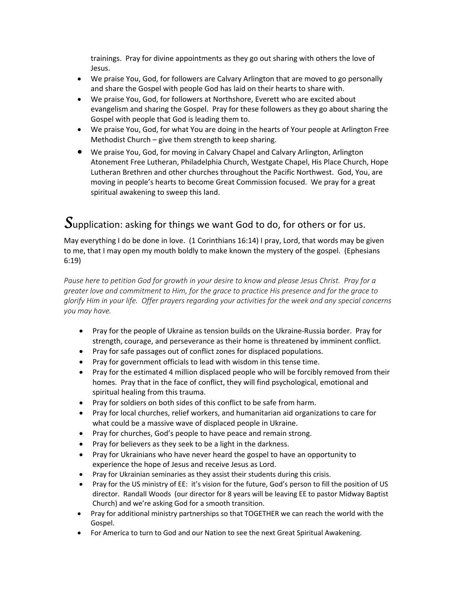trainings. Pray for divine appointments as they go out sharing with others the love of Jesus.

- We praise You, God, for followers are Calvary Arlington that are moved to go personally and share the Gospel with people God has laid on their hearts to share with.
- We praise You, God, for followers at Northshore, Everett who are excited about evangelism and sharing the Gospel. Pray for these followers as they go about sharing the Gospel with people that God is leading them to.
- We praise You, God, for what You are doing in the hearts of Your people at Arlington Free Methodist Church – give them strength to keep sharing.
- We praise You, God, for moving in Calvary Chapel and Calvary Arlington, Arlington Atonement Free Lutheran, Philadelphia Church, Westgate Chapel, His Place Church, Hope Lutheran Brethren and other churches throughout the Pacific Northwest. God, You, are moving in people's hearts to become Great Commission focused. We pray for a great spiritual awakening to sweep this land.

## *S*upplication: asking for things we want God to do, for others or for us.

May everything I do be done in love. (1 Corinthians 16:14) I pray, Lord, that words may be given to me, that I may open my mouth boldly to make known the mystery of the gospel. (Ephesians 6:19)

*Pause here to petition God for growth in your desire to know and please Jesus Christ. Pray for a greater love and commitment to Him, for the grace to practice His presence and for the grace to glorify Him in your life. Offer prayers regarding your activities for the week and any special concerns you may have.*

- Pray for the people of Ukraine as tension builds on the Ukraine-Russia border. Pray for strength, courage, and perseverance as their home is threatened by imminent conflict.
- Pray for safe passages out of conflict zones for displaced populations.
- Pray for government officials to lead with wisdom in this tense time.
- Pray for the estimated 4 million displaced people who will be forcibly removed from their homes. Pray that in the face of conflict, they will find psychological, emotional and spiritual healing from this trauma.
- Pray for soldiers on both sides of this conflict to be safe from harm.
- Pray for local churches, relief workers, and humanitarian aid organizations to care for what could be a massive wave of displaced people in Ukraine.
- Pray for churches, God's people to have peace and remain strong.
- Pray for believers as they seek to be a light in the darkness.
- Pray for Ukrainians who have never heard the gospel to have an opportunity to experience the hope of Jesus and receive Jesus as Lord.
- Pray for Ukrainian seminaries as they assist their students during this crisis.
- Pray for the US ministry of EE: it's vision for the future, God's person to fill the position of US director. Randall Woods (our director for 8 years will be leaving EE to pastor Midway Baptist Church) and we're asking God for a smooth transition.
- Pray for additional ministry partnerships so that TOGETHER we can reach the world with the Gospel.
- For America to turn to God and our Nation to see the next Great Spiritual Awakening.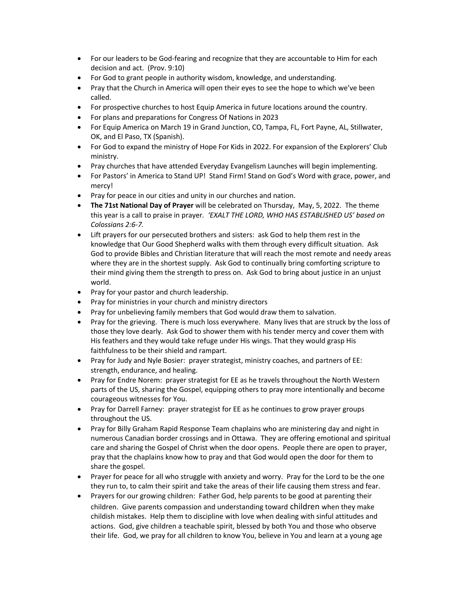- For our leaders to be God-fearing and recognize that they are accountable to Him for each decision and act. (Prov. 9:10)
- For God to grant people in authority wisdom, knowledge, and understanding.
- Pray that the Church in America will open their eyes to see the hope to which we've been called.
- For prospective churches to host Equip America in future locations around the country.
- For plans and preparations for Congress Of Nations in 2023
- For Equip America on March 19 in Grand Junction, CO, Tampa, FL, Fort Payne, AL, Stillwater, OK, and El Paso, TX (Spanish).
- For God to expand the ministry of Hope For Kids in 2022. For expansion of the Explorers' Club ministry.
- Pray churches that have attended Everyday Evangelism Launches will begin implementing.
- For Pastors' in America to Stand UP! Stand Firm! Stand on God's Word with grace, power, and mercy!
- Pray for peace in our cities and unity in our churches and nation.
- **The 71st National Day of Prayer** will be celebrated on Thursday, May, 5, 2022. The theme this year is a call to praise in prayer*. 'EXALT THE LORD, WHO HAS ESTABLISHED US' based on Colossians 2:6-7.*
- Lift prayers for our persecuted brothers and sisters: ask God to help them rest in the knowledge that Our Good Shepherd walks with them through every difficult situation. Ask God to provide Bibles and Christian literature that will reach the most remote and needy areas where they are in the shortest supply. Ask God to continually bring comforting scripture to their mind giving them the strength to press on. Ask God to bring about justice in an unjust world.
- Pray for your pastor and church leadership.
- Pray for ministries in your church and ministry directors
- Pray for unbelieving family members that God would draw them to salvation.
- Pray for the grieving. There is much loss everywhere. Many lives that are struck by the loss of those they love dearly. Ask God to shower them with his tender mercy and cover them with His feathers and they would take refuge under His wings. That they would grasp His faithfulness to be their shield and rampart.
- Pray for Judy and Nyle Bosier: prayer strategist, ministry coaches, and partners of EE: strength, endurance, and healing.
- Pray for Endre Norem: prayer strategist for EE as he travels throughout the North Western parts of the US, sharing the Gospel, equipping others to pray more intentionally and become courageous witnesses for You.
- Pray for Darrell Farney: prayer strategist for EE as he continues to grow prayer groups throughout the US.
- Pray for Billy Graham Rapid Response Team chaplains who are ministering day and night in numerous Canadian border crossings and in Ottawa. They are offering emotional and spiritual care and sharing the Gospel of Christ when the door opens. People there are open to prayer, pray that the chaplains know how to pray and that God would open the door for them to share the gospel.
- Prayer for peace for all who struggle with anxiety and worry. Pray for the Lord to be the one they run to, to calm their spirit and take the areas of their life causing them stress and fear.
- Prayers for our growing children: Father God, help parents to be good at parenting their children. Give parents compassion and understanding toward children when they make childish mistakes. Help them to discipline with love when dealing with sinful attitudes and actions. God, give children a teachable spirit, blessed by both You and those who observe their life. God, we pray for all children to know You, believe in You and learn at a young age